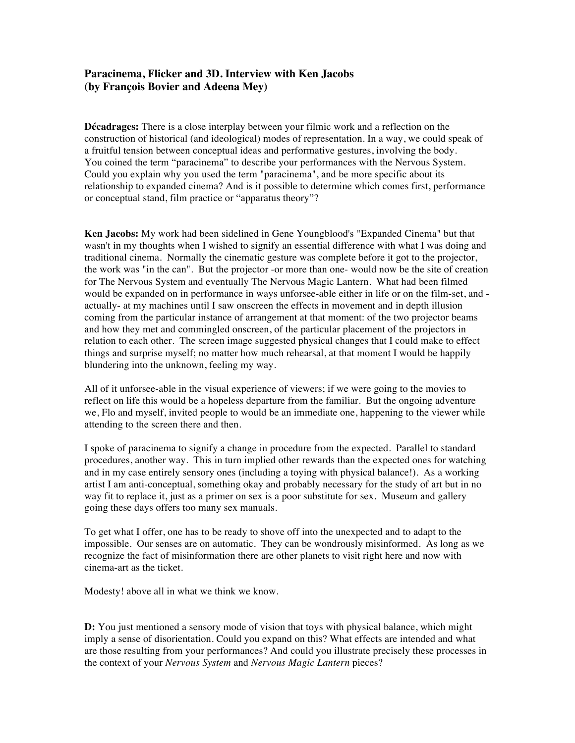## **Paracinema, Flicker and 3D. Interview with Ken Jacobs (by François Bovier and Adeena Mey)**

**Décadrages:** There is a close interplay between your filmic work and a reflection on the construction of historical (and ideological) modes of representation. In a way, we could speak of a fruitful tension between conceptual ideas and performative gestures, involving the body. You coined the term "paracinema" to describe your performances with the Nervous System. Could you explain why you used the term "paracinema", and be more specific about its relationship to expanded cinema? And is it possible to determine which comes first, performance or conceptual stand, film practice or "apparatus theory"?

**Ken Jacobs:** My work had been sidelined in Gene Youngblood's "Expanded Cinema" but that wasn't in my thoughts when I wished to signify an essential difference with what I was doing and traditional cinema. Normally the cinematic gesture was complete before it got to the projector, the work was "in the can". But the projector -or more than one- would now be the site of creation for The Nervous System and eventually The Nervous Magic Lantern. What had been filmed would be expanded on in performance in ways unforsee-able either in life or on the film-set, and actually- at my machines until I saw onscreen the effects in movement and in depth illusion coming from the particular instance of arrangement at that moment: of the two projector beams and how they met and commingled onscreen, of the particular placement of the projectors in relation to each other. The screen image suggested physical changes that I could make to effect things and surprise myself; no matter how much rehearsal, at that moment I would be happily blundering into the unknown, feeling my way.

All of it unforsee-able in the visual experience of viewers; if we were going to the movies to reflect on life this would be a hopeless departure from the familiar. But the ongoing adventure we, Flo and myself, invited people to would be an immediate one, happening to the viewer while attending to the screen there and then.

I spoke of paracinema to signify a change in procedure from the expected. Parallel to standard procedures, another way. This in turn implied other rewards than the expected ones for watching and in my case entirely sensory ones (including a toying with physical balance!). As a working artist I am anti-conceptual, something okay and probably necessary for the study of art but in no way fit to replace it, just as a primer on sex is a poor substitute for sex. Museum and gallery going these days offers too many sex manuals.

To get what I offer, one has to be ready to shove off into the unexpected and to adapt to the impossible. Our senses are on automatic. They can be wondrously misinformed. As long as we recognize the fact of misinformation there are other planets to visit right here and now with cinema-art as the ticket.

Modesty! above all in what we think we know.

**D:** You just mentioned a sensory mode of vision that toys with physical balance, which might imply a sense of disorientation. Could you expand on this? What effects are intended and what are those resulting from your performances? And could you illustrate precisely these processes in the context of your *Nervous System* and *Nervous Magic Lantern* pieces?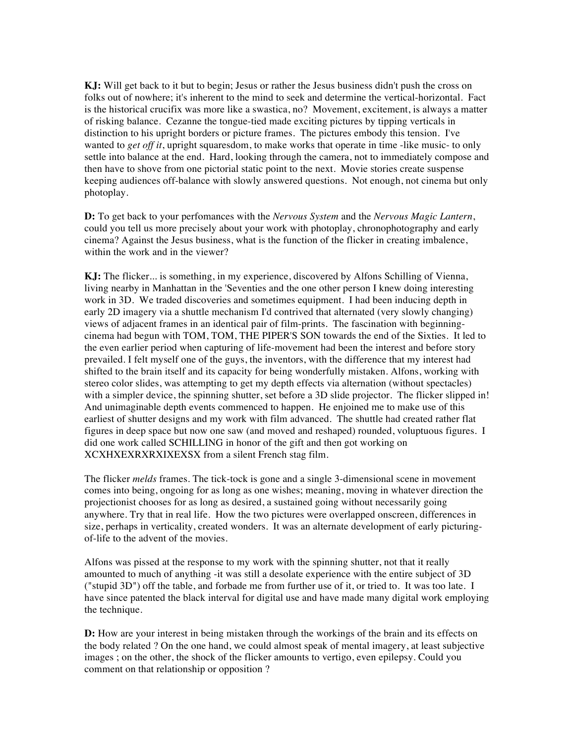**KJ:** Will get back to it but to begin; Jesus or rather the Jesus business didn't push the cross on folks out of nowhere; it's inherent to the mind to seek and determine the vertical-horizontal. Fact is the historical crucifix was more like a swastica, no? Movement, excitement, is always a matter of risking balance. Cezanne the tongue-tied made exciting pictures by tipping verticals in distinction to his upright borders or picture frames. The pictures embody this tension. I've wanted to *get off it*, upright squaresdom, to make works that operate in time -like music- to only settle into balance at the end. Hard, looking through the camera, not to immediately compose and then have to shove from one pictorial static point to the next. Movie stories create suspense keeping audiences off-balance with slowly answered questions. Not enough, not cinema but only photoplay.

**D:** To get back to your perfomances with the *Nervous System* and the *Nervous Magic Lantern*, could you tell us more precisely about your work with photoplay, chronophotography and early cinema? Against the Jesus business, what is the function of the flicker in creating imbalence, within the work and in the viewer?

**KJ:** The flicker... is something, in my experience, discovered by Alfons Schilling of Vienna, living nearby in Manhattan in the 'Seventies and the one other person I knew doing interesting work in 3D. We traded discoveries and sometimes equipment. I had been inducing depth in early 2D imagery via a shuttle mechanism I'd contrived that alternated (very slowly changing) views of adjacent frames in an identical pair of film-prints. The fascination with beginningcinema had begun with TOM, TOM, THE PIPER'S SON towards the end of the Sixties. It led to the even earlier period when capturing of life-movement had been the interest and before story prevailed. I felt myself one of the guys, the inventors, with the difference that my interest had shifted to the brain itself and its capacity for being wonderfully mistaken. Alfons, working with stereo color slides, was attempting to get my depth effects via alternation (without spectacles) with a simpler device, the spinning shutter, set before a 3D slide projector. The flicker slipped in! And unimaginable depth events commenced to happen. He enjoined me to make use of this earliest of shutter designs and my work with film advanced. The shuttle had created rather flat figures in deep space but now one saw (and moved and reshaped) rounded, voluptuous figures. I did one work called SCHILLING in honor of the gift and then got working on XCXHXEXRXRXIXEXSX from a silent French stag film.

The flicker *melds* frames. The tick-tock is gone and a single 3-dimensional scene in movement comes into being, ongoing for as long as one wishes; meaning, moving in whatever direction the projectionist chooses for as long as desired, a sustained going without necessarily going anywhere. Try that in real life. How the two pictures were overlapped onscreen, differences in size, perhaps in verticality, created wonders. It was an alternate development of early picturingof-life to the advent of the movies.

Alfons was pissed at the response to my work with the spinning shutter, not that it really amounted to much of anything -it was still a desolate experience with the entire subject of 3D ("stupid 3D") off the table, and forbade me from further use of it, or tried to. It was too late. I have since patented the black interval for digital use and have made many digital work employing the technique.

**D:** How are your interest in being mistaken through the workings of the brain and its effects on the body related ? On the one hand, we could almost speak of mental imagery, at least subjective images ; on the other, the shock of the flicker amounts to vertigo, even epilepsy. Could you comment on that relationship or opposition ?